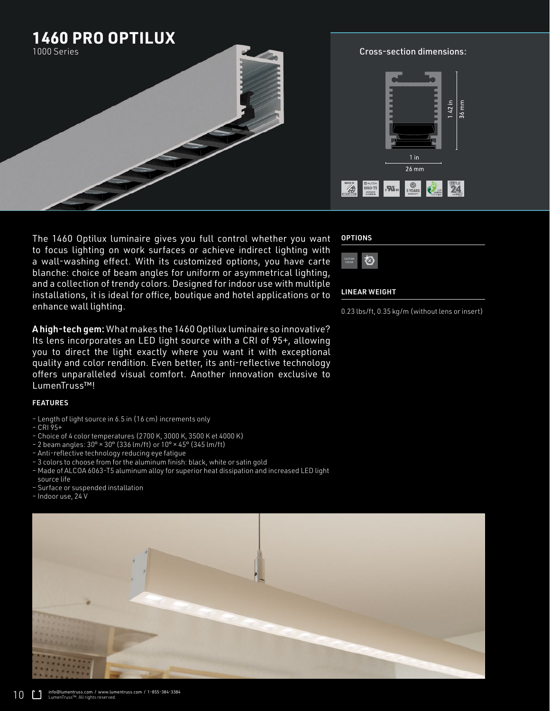

The 1460 Optilux luminaire gives you full control whether you want to focus lighting on work surfaces or achieve indirect lighting with a wall-washing effect. With its customized options, you have carte blanche: choice of beam angles for uniform or asymmetrical lighting, and a collection of trendy colors. Designed for indoor use with multiple installations, it is ideal for office, boutique and hotel applications or to enhance wall lighting.

A high-tech gem: What makes the 1460 Optilux luminaire so innovative? Its lens incorporates an LED light source with a CRI of 95+, allowing you to direct the light exactly where you want it with exceptional quality and color rendition. Even better, its anti-reflective technology offers unparalleled visual comfort. Another innovation exclusive to LumenTruss™!

### FEATURES

- Length of light source in 6.5 in (16 cm) increments only
- $-$  CRI 95+
- Choice of 4 color temperatures (2700 K, 3000 K, 3500 K et 4000 K)
- 2 beam angles:  $30^{\circ}$  ×  $30^{\circ}$  (336 lm/ft) or  $10^{\circ}$  × 45° (345 lm/ft)
- Anti-reflective technology reducing eye fatigue
- 3 colors to choose from for the aluminum finish: black, white or satin gold
- Made of ALCOA 6063-T5 aluminum alloy for superior heat dissipation and increased LED light source life
- Surface or suspended installation
- Indoor use, 24 V



**OPTIONS** 



### LINEAR WEIGHT

0.23 lbs/ft, 0.35 kg/m (without lens or insert)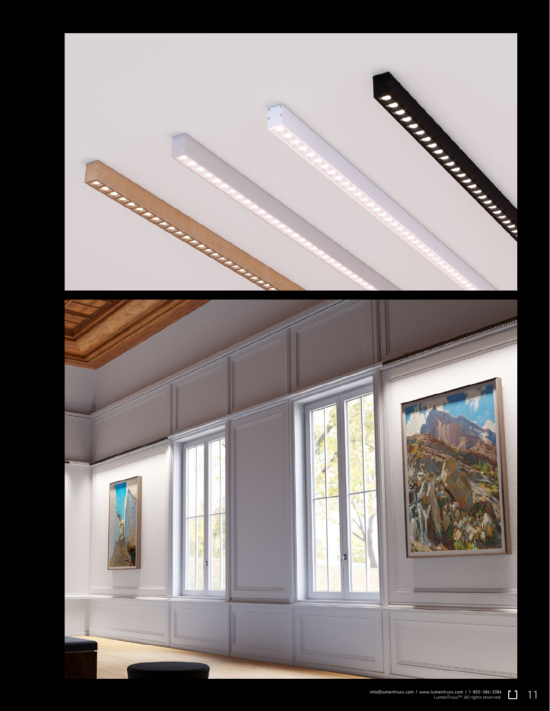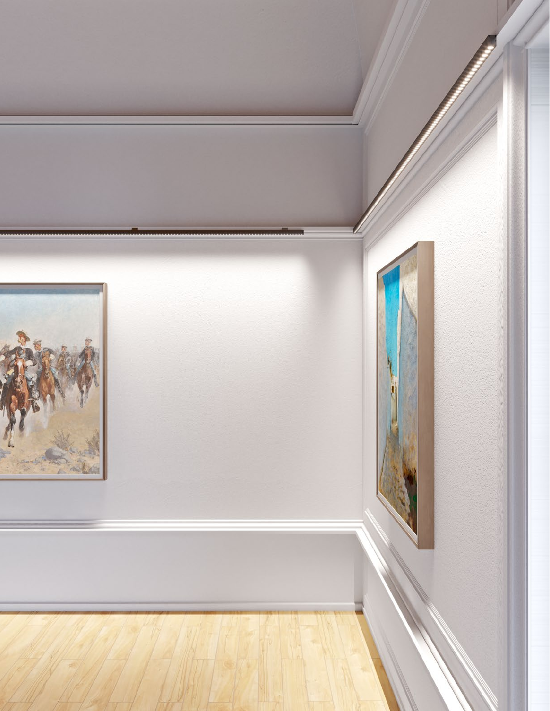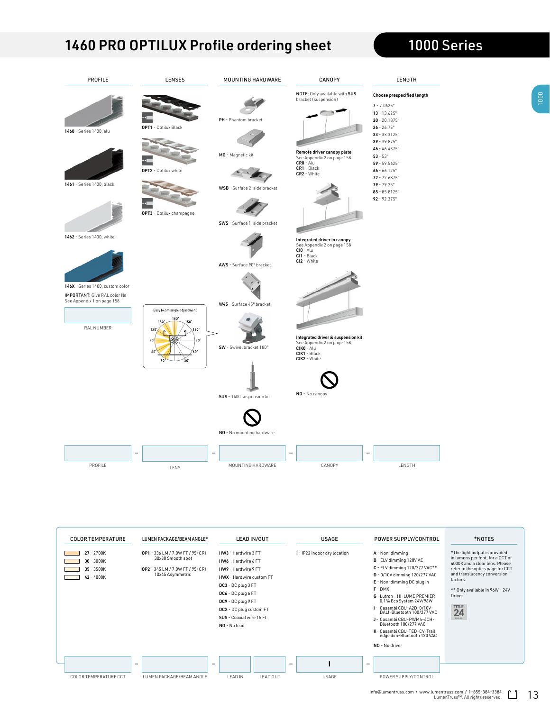# 1460 PRO OPTILUX Profile ordering sheet 1000 Series